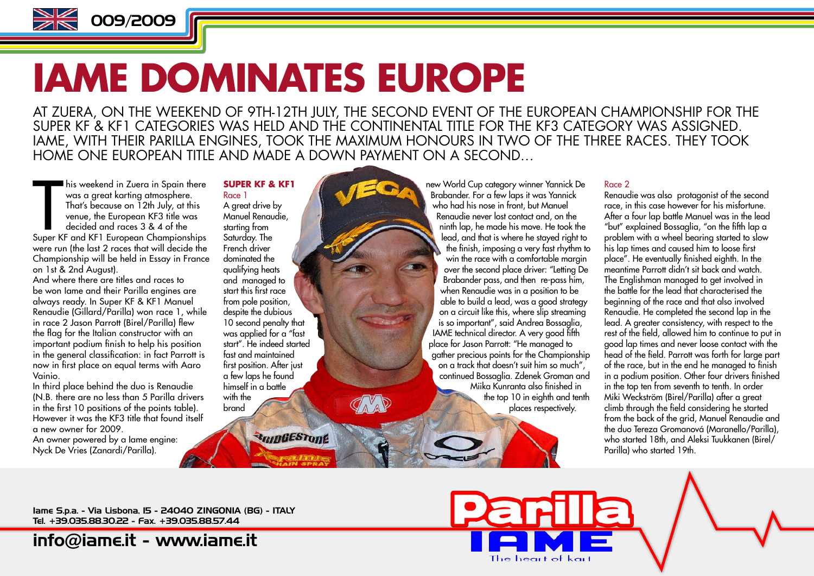

# **IAME DOMINATES EUROPE**

AT ZUERA, ON THE WEEKEND OF 9TH-12TH JULY, THE SECOND EVENT OF THE EUROPEAN CHAMPIONSHIP FOR THE SUPER KF & KF1 CATEGORIES WAS HELD AND THE CONTINENTAL TITLE FOR THE KF3 CATEGORY WAS ASSIGNED. IAME, WITH THEIR PARILLA ENGINES, TOOK THE MAXIMUM HONOURS IN TWO OF THE THREE RACES. THEY TOOK HOME ONE FUROPEAN TITLE AND MADE A DOWN PAYMENT ON A SECOND.

In this weekend in Zuera in Spain there<br>
was a great karting atmosphere.<br>
That's because on 12th July, at this<br>
venue, the European KF3 title was<br>
decided and races 3 & 4 of the<br>
Super KF and KF1 European Championships his weekend in Zuera in Spain there was a great karting atmosphere. That's because on 12th July, at this venue, the European KF3 title was decided and races 3 & 4 of the were run (the last 2 races that will decide the Championship will be held in Essay in France on 1st & 2nd August).

And where there are titles and races to be won Iame and their Parilla engines are always ready. In Super KF & KF1 Manuel Renaudie (Gillard/Parilla) won race 1, while in race 2 Jason Parrott (Birel/Parilla) flew the flag for the Italian constructor with an important podium finish to help his position in the general classification: in fact Parrott is now in first place on equal terms with Aaro Vainio.

In third place behind the duo is Renaudie (N.B. there are no less than 5 Parilla drivers in the first 10 positions of the points table). However it was the KF3 title that found itself a new owner for 2009.

An owner powered by a Iame engine: Nyck De Vries (Zanardi/Parilla).

#### **SUPER KF & KF1** Race 1

brand

A great drive by Manuel Renaudie, starting from Saturday. The French driver dominated the qualifying heats and managed to start this first race from pole position, despite the dubious 10 second penalty that was applied for a "fast start". He indeed started fast and maintained first position. After just a few laps he found himself in a battle with the

**RRIDGESTONE** 

new World Cup category winner Yannick De Brabander. For a few laps it was Yannick who had his nose in front, but Manuel Renaudie never lost contact and, on the ninth lap, he made his move. He took the lead, and that is where he stayed right to the finish, imposing a very fast rhythm to win the race with a comfortable margin over the second place driver: "Letting De Brabander pass, and then re-pass him, when Renaudie was in a position to be able to build a lead, was a good strategy on a circuit like this, where slip streaming is so important", said Andrea Bossaglia, IAME technical director. A very good fifth place for Jason Parrott: "He managed to  $\alpha$  aather precious points for the Championship on a track that doesn't suit him so much", continued Bossaglia. Zdenek Groman and Miika Kunranta also finished in the top 10 in eighth and tenth places respectively.

mila

The heart of kart

### Race 2

Renaudie was also protagonist of the second race, in this case however for his misfortune. After a four lap battle Manuel was in the lead "but" explained Bossaglia, "on the fifth lap a problem with a wheel bearing started to slow his lap times and caused him to loose first place". He eventually finished eighth. In the meantime Parrott didn't sit back and watch. The Englishman managed to get involved in the battle for the lead that characterised the beginning of the race and that also involved Renaudie. He completed the second lap in the lead. A greater consistency, with respect to the rest of the field, allowed him to continue to put in good lap times and never loose contact with the head of the field. Parrott was forth for large part of the race, but in the end he managed to finish in a podium position. Other four drivers finished in the top ten from seventh to tenth. In order Miki Weckström (Birel/Parilla) after a great climb through the field considering he started from the back of the grid, Manuel Renaudie and the duo Tereza Gromanová (Maranello/Parilla), who started 18th, and Aleksi Tuukkanen (Birel/ Parilla) who started 19th.

Iame S.p.a. - Via Lisbona, 15 - 24040 ZINGONIA (BG) - ITALY Tel. +39.035.88.30.22 - Fax. +39.035.88.57.44

[info@iame.it](mailto:info@iame.it) -<www.iame.it>